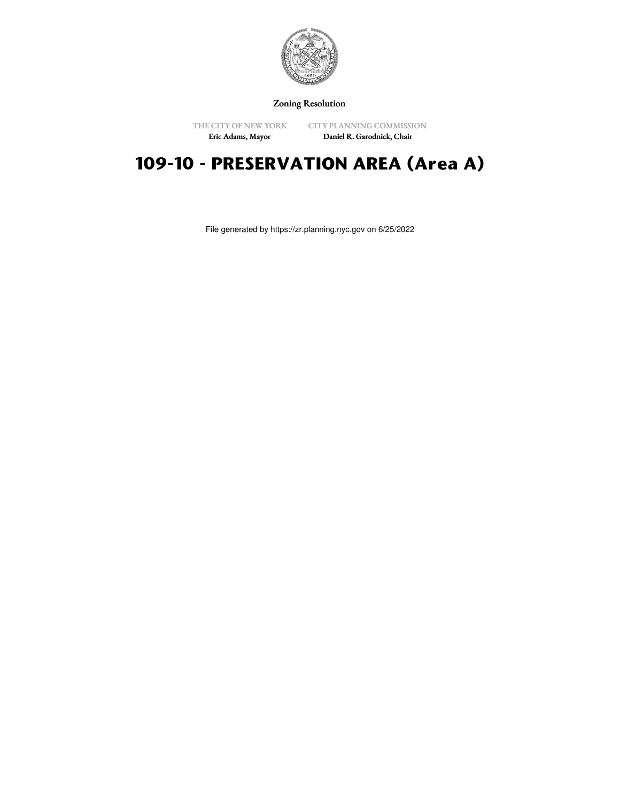

Zoning Resolution

THE CITY OF NEW YORK Eric Adams, Mayor

CITY PLANNING COMMISSION Daniel R. Garodnick, Chair

# **109-10 - PRESERVATION AREA (Area A)**

File generated by https://zr.planning.nyc.gov on 6/25/2022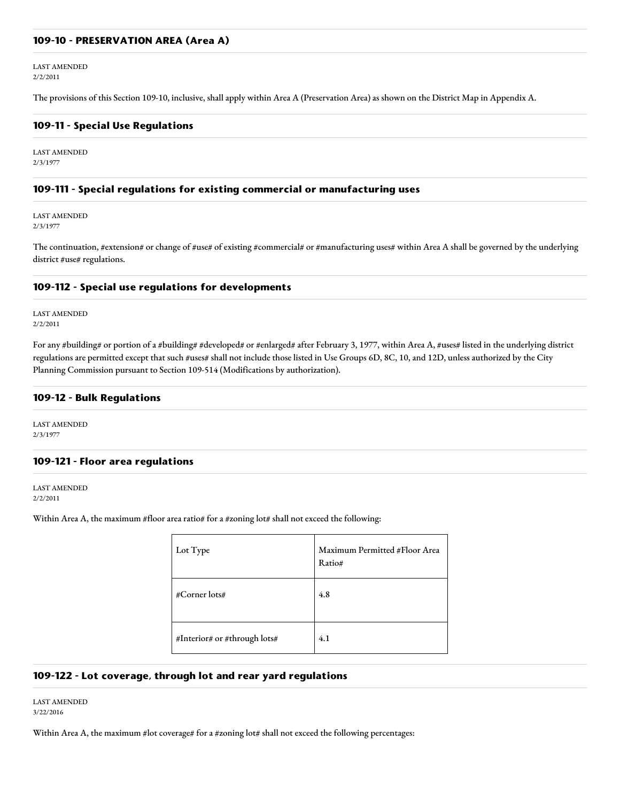#### **109-10 - PRESERVATION AREA (Area A)**

LAST AMENDED 2/2/2011

The provisions of this Section 109-10, inclusive, shall apply within Area A (Preservation Area) as shown on the District Map in Appendix A.

#### **109-11 - Special Use Regulations**

LAST AMENDED 2/3/1977

#### **109-111 - Special regulations for existing commercial or manufacturing uses**

LAST AMENDED 2/3/1977

The continuation, #extension# or change of #use# of existing #commercial# or #manufacturing uses# within Area A shall be governed by the underlying district #use# regulations.

## **109-112 - Special use regulations for developments**

LAST AMENDED 2/2/2011

For any #building# or portion of a #building# #developed# or #enlarged# after February 3, 1977, within Area A, #uses# listed in the underlying district regulations are permitted except that such #uses# shall not include those listed in Use Groups 6D, 8C, 10, and 12D, unless authorized by the City Planning Commission pursuant to Section 109-514 (Modifications by authorization).

#### **109-12 - Bulk Regulations**

LAST AMENDED 2/3/1977

## **109-121 - Floor area regulations**

LAST AMENDED 2/2/2011

Within Area A, the maximum #floor area ratio# for a #zoning lot# shall not exceed the following:

| Lot Type                     | Maximum Permitted #Floor Area<br>Ratio# |
|------------------------------|-----------------------------------------|
| #Corner lots#                | 4.8                                     |
| #Interior# or #through lots# | 4.1                                     |

## **109-122 - Lot coverage, through lot and rear yard regulations**

LAST AMENDED 3/22/2016

Within Area A, the maximum #lot coverage# for a #zoning lot# shall not exceed the following percentages: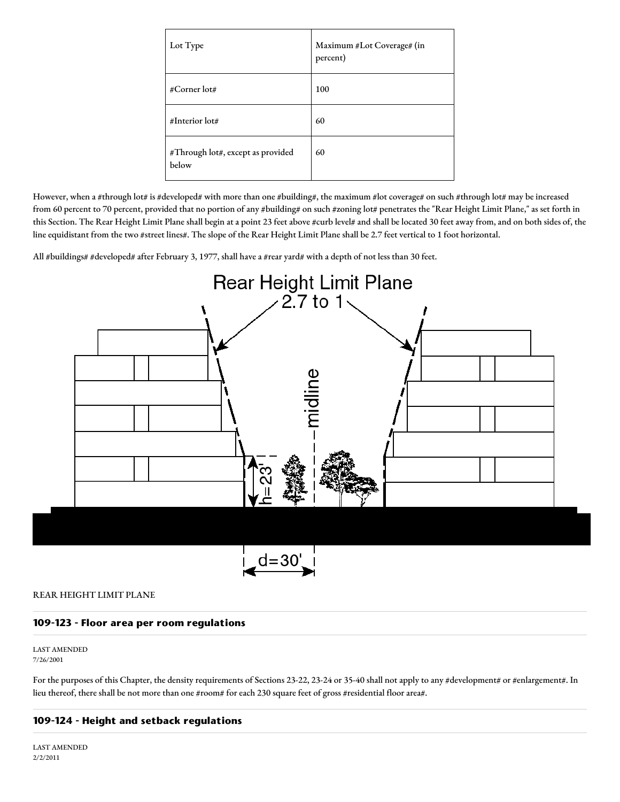| Lot Type                                   | Maximum #Lot Coverage# (in<br>percent) |
|--------------------------------------------|----------------------------------------|
| #Corner lot#                               | 100                                    |
| #Interior lot#                             | 60                                     |
| #Through lot#, except as provided<br>below | 60                                     |

However, when a #through lot# is #developed# with more than one #building#, the maximum #lot coverage# on such #through lot# may be increased from 60 percent to 70 percent, provided that no portion of any #building# on such #zoning lot# penetrates the "Rear Height Limit Plane," as set forth in this Section. The Rear Height Limit Plane shall begin at a point 23 feet above #curb level# and shall be located 30 feet away from, and on both sides of, the line equidistant from the two #street lines#. The slope of the Rear Height Limit Plane shall be 2.7 feet vertical to 1 foot horizontal.

All #buildings# #developed# after February 3, 1977, shall have a #rear yard# with a depth of not less than 30 feet.



#### REAR HEIGHT LIMIT PLANE

## **109-123 - Floor area per room regulations**

LAST AMENDED 7/26/2001

For the purposes of this Chapter, the density requirements of Sections 23-22, 23-24 or 35-40 shall not apply to any #development# or #enlargement#. In lieu thereof, there shall be not more than one #room# for each 230 square feet of gross #residential floor area#.

## **109-124 - Height and setback regulations**

LAST AMENDED 2/2/2011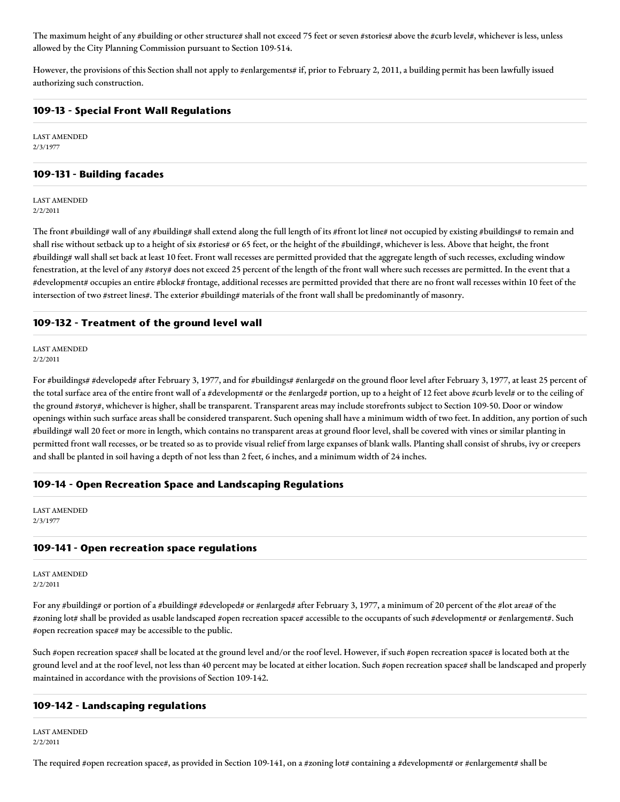The maximum height of any #building or other structure# shall not exceed 75 feet or seven #stories# above the #curb level#, whichever is less, unless allowed by the City Planning Commission pursuant to Section 109-514.

However, the provisions of this Section shall not apply to #enlargements# if, prior to February 2, 2011, a building permit has been lawfully issued authorizing such construction.

## **109-13 - Special Front Wall Regulations**

LAST AMENDED 2/3/1977

## **109-131 - Building facades**

LAST AMENDED 2/2/2011

The front #building# wall of any #building# shall extend along the full length of its #front lot line# not occupied by existing #buildings# to remain and shall rise without setback up to a height of six #stories# or 65 feet, or the height of the #building#, whichever is less. Above that height, the front #building# wall shall set back at least 10 feet. Front wall recesses are permitted provided that the aggregate length of such recesses, excluding window fenestration, at the level of any #story# does not exceed 25 percent of the length of the front wall where such recesses are permitted. In the event that a #development# occupies an entire #block# frontage, additional recesses are permitted provided that there are no front wall recesses within 10 feet of the intersection of two #street lines#. The exterior #building# materials of the front wall shall be predominantly of masonry.

# **109-132 - Treatment of the ground level wall**

LAST AMENDED 2/2/2011

For #buildings# #developed# after February 3, 1977, and for #buildings# #enlarged# on the ground floor level after February 3, 1977, at least 25 percent of the total surface area of the entire front wall of a #development# or the #enlarged# portion, up to a height of 12 feet above #curb level# or to the ceiling of the ground #story#, whichever is higher, shall be transparent. Transparent areas may include storefronts subject to Section 109-50. Door or window openings within such surface areas shall be considered transparent. Such opening shall have a minimum width of two feet. In addition, any portion of such #building# wall 20 feet or more in length, which contains no transparent areas at ground floor level, shall be covered with vines or similar planting in permitted front wall recesses, or be treated so as to provide visual relief from large expanses of blank walls. Planting shall consist of shrubs, ivy or creepers and shall be planted in soil having a depth of not less than 2 feet, 6 inches, and a minimum width of 24 inches.

## **109-14 - Open Recreation Space and Landscaping Regulations**

LAST AMENDED 2/3/1977

## **109-141 - Open recreation space regulations**

LAST AMENDED 2/2/2011

For any #building# or portion of a #building# #developed# or #enlarged# after February 3, 1977, a minimum of 20 percent of the #lot area# of the #zoning lot# shall be provided as usable landscaped #open recreation space# accessible to the occupants of such #development# or #enlargement#. Such #open recreation space# may be accessible to the public.

Such #open recreation space# shall be located at the ground level and/or the roof level. However, if such #open recreation space# is located both at the ground level and at the roof level, not less than 40 percent may be located at either location. Such #open recreation space# shall be landscaped and properly maintained in accordance with the provisions of Section 109-142.

## **109-142 - Landscaping regulations**

LAST AMENDED 2/2/2011

The required #open recreation space#, as provided in Section 109-141, on a #zoning lot# containing a #development# or #enlargement# shall be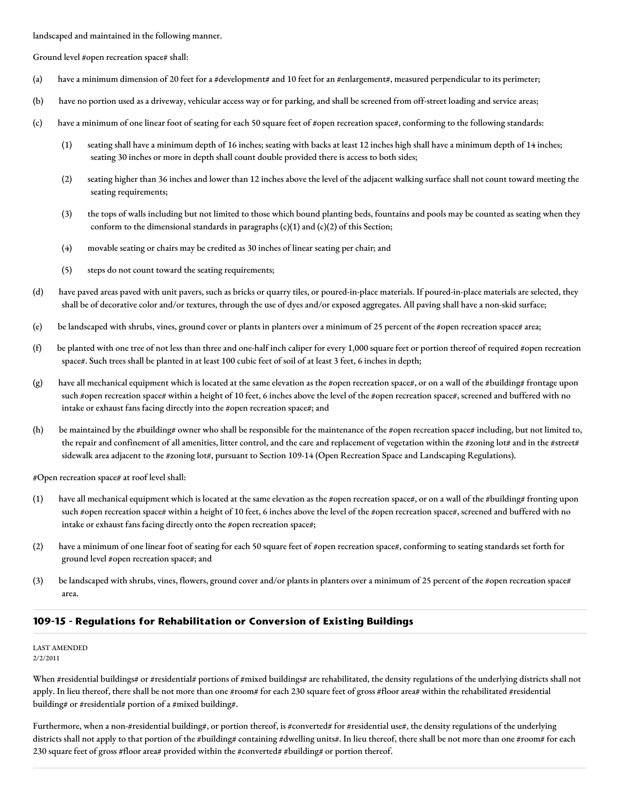landscaped and maintained in the following manner.

Ground level #open recreation space# shall:

- (a) have a minimum dimension of 20 feet for a #development# and 10 feet for an #enlargement#, measured perpendicular to its perimeter;
- (b) have no portion used as a driveway, vehicular access way or for parking, and shall be screened from off-street loading and service areas;
- (c) have a minimum of one linear foot of seating for each 50 square feet of #open recreation space#, conforming to the following standards:
	- (1) seating shall have a minimum depth of 16 inches; seating with backs at least 12 inches high shall have a minimum depth of 14 inches; seating 30 inches or more in depth shall count double provided there is access to both sides;
	- (2) seating higher than 36 inches and lower than 12 inches above the level of the adjacent walking surface shall not count toward meeting the seating requirements;
	- (3) the tops of walls including but not limited to those which bound planting beds, fountains and pools may be counted as seating when they conform to the dimensional standards in paragraphs  $(c)(1)$  and  $(c)(2)$  of this Section;
	- (4) movable seating or chairs may be credited as 30 inches of linear seating per chair; and
	- (5) steps do not count toward the seating requirements;
- (d) have paved areas paved with unit pavers, such as bricks or quarry tiles, or poured-in-place materials. If poured-in-place materials are selected, they shall be of decorative color and/or textures, through the use of dyes and/or exposed aggregates. All paving shall have a non-skid surface;
- (e) be landscaped with shrubs, vines, ground cover or plants in planters over a minimum of 25 percent of the #open recreation space# area;
- (f) be planted with one tree of not less than three and one-half inch caliper for every 1,000 square feet or portion thereof of required #open recreation space#. Such trees shall be planted in at least 100 cubic feet of soil of at least 3 feet, 6 inches in depth;
- (g) have all mechanical equipment which is located at the same elevation as the #open recreation space#, or on a wall of the #building# frontage upon such #open recreation space# within a height of 10 feet, 6 inches above the level of the #open recreation space#, screened and buffered with no intake or exhaust fans facing directly into the #open recreation space#; and
- (h) be maintained by the #building# owner who shall be responsible for the maintenance of the #open recreation space# including, but not limited to, the repair and confinement of all amenities, litter control, and the care and replacement of vegetation within the #zoning lot# and in the #street# sidewalk area adjacent to the #zoning lot#, pursuant to Section 109-14 (Open Recreation Space and Landscaping Regulations).

#Open recreation space# at roof level shall:

- (1) have all mechanical equipment which is located at the same elevation as the #open recreation space#, or on a wall of the #building# fronting upon such #open recreation space# within a height of 10 feet, 6 inches above the level of the #open recreation space#, screened and buffered with no intake or exhaust fans facing directly onto the #open recreation space#;
- (2) have a minimum of one linear foot of seating for each 50 square feet of #open recreation space#, conforming to seating standards set forth for ground level #open recreation space#; and
- (3) be landscaped with shrubs, vines, flowers, ground cover and/or plants in planters over a minimum of 25 percent of the #open recreation space# area.

## **109-15 - Regulations for Rehabilitation or Conversion of Existing Buildings**

#### LAST AMENDED 2/2/2011

When #residential buildings# or #residential# portions of #mixed buildings# are rehabilitated, the density regulations of the underlying districts shall not apply. In lieu thereof, there shall be not more than one #room# for each 230 square feet of gross #floor area# within the rehabilitated #residential building# or #residential# portion of a #mixed building#.

Furthermore, when a non-#residential building#, or portion thereof, is #converted# for #residential use#, the density regulations of the underlying districts shall not apply to that portion of the #building# containing #dwelling units#. In lieu thereof, there shall be not more than one #room# for each 230 square feet of gross #floor area# provided within the #converted# #building# or portion thereof.